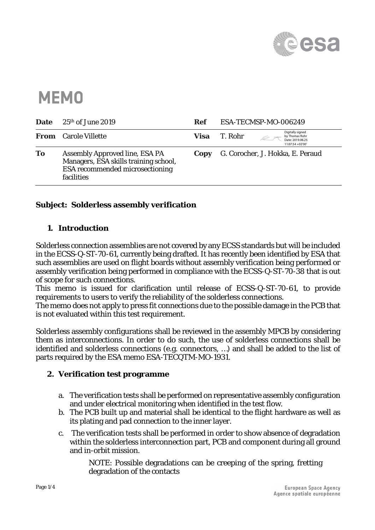

# **MEMO**

| <b>Date</b> | $25th$ of June 2019                                                                                                             | <b>Ref</b> | ESA-TECMSP-MO-006249                                                                  |
|-------------|---------------------------------------------------------------------------------------------------------------------------------|------------|---------------------------------------------------------------------------------------|
|             | <b>From</b> Carole Villette                                                                                                     | Visa       | Digitally signed<br>T. Rohr<br>by Thomas Rohr<br>Date: 2019.06.25<br>11:07:54 +02'00' |
| To          | <b>Assembly Approved line, ESA PA</b><br>Managers, ESA skills training school,<br>ESA recommended microsectioning<br>facilities | Copy       | G. Corocher, J. Hokka, E. Peraud                                                      |

## **Subject: Solderless assembly verification**

## **1. Introduction**

Solderless connection assemblies are not covered by any ECSS standards but will be included in the ECSS-Q-ST-70-61, currently being drafted. It has recently been identified by ESA that such assemblies are used on flight boards without assembly verification being performed or assembly verification being performed in compliance with the ECSS-Q-ST-70-38 that is out of scope for such connections.

This memo is issued for clarification until release of ECSS-Q-ST-70-61, to provide requirements to users to verify the reliability of the solderless connections.

The memo does not apply to press fit connections due to the possible damage in the PCB that is not evaluated within this test requirement.

Solderless assembly configurations shall be reviewed in the assembly MPCB by considering them as interconnections. In order to do such, the use of solderless connections shall be identified and solderless connections (e.g. connectors, …) and shall be added to the list of parts required by the ESA memo ESA-TECQTM-MO-1931.

### **2. Verification test programme**

- a. The verification tests shall be performed on representative assembly configuration and under electrical monitoring when identified in the test flow.
- b. The PCB built up and material shall be identical to the flight hardware as well as its plating and pad connection to the inner layer.
- c. The verification tests shall be performed in order to show absence of degradation within the solderless interconnection part, PCB and component during all ground and in-orbit mission.

NOTE: Possible degradations can be creeping of the spring, fretting degradation of the contacts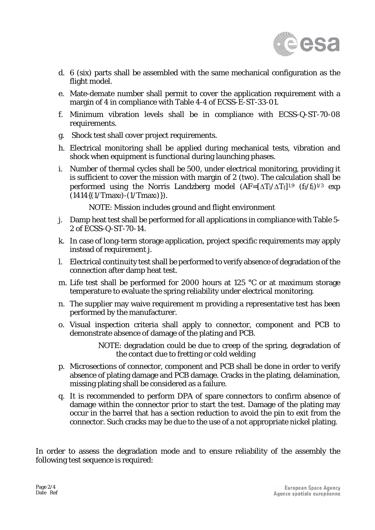

- d. 6 (six) parts shall be assembled with the same mechanical configuration as the flight model.
- e. Mate-demate number shall permit to cover the application requirement with a margin of 4 in compliance with Table 4-4 of ECSS-E-ST-33-01.
- f. Minimum vibration levels shall be in compliance with ECSS-Q-ST-70-08 requirements.
- g. Shock test shall cover project requirements.
- h. Electrical monitoring shall be applied during mechanical tests, vibration and shock when equipment is functional during launching phases.
- i. Number of thermal cycles shall be 500, under electrical monitoring, providing it is sufficient to cover the mission with margin of 2 (two). The calculation shall be performed using the Norris Landzberg model  $(AF=[\Delta T]/\Delta T_f]^{1.9}$  (f<sub>f</sub>/f<sub>l</sub>)<sup>1/3</sup> exp  $(1414\{(1/Tmax<sub>f</sub>)-(1/Tmax<sub>l</sub>)\}).$

NOTE: Mission includes ground and flight environment

- j. Damp heat test shall be performed for all applications in compliance with Table 5- 2 of ECSS-Q-ST-70-14.
- k. In case of long-term storage application, project specific requirements may apply instead of requirement j.
- l. Electrical continuity test shall be performed to verify absence of degradation of the connection after damp heat test.
- <span id="page-1-0"></span>m. Life test shall be performed for 2000 hours at 125 °C or at maximum storage temperature to evaluate the spring reliability under electrical monitoring.
- n. The supplier may waive requirement [m](#page-1-0) providing a representative test has been performed by the manufacturer.
- o. Visual inspection criteria shall apply to connector, component and PCB to demonstrate absence of damage of the plating and PCB.

NOTE: degradation could be due to creep of the spring, degradation of the contact due to fretting or cold welding

- p. Microsections of connector, component and PCB shall be done in order to verify absence of plating damage and PCB damage. Cracks in the plating, delamination, missing plating shall be considered as a failure.
- q. It is recommended to perform DPA of spare connectors to confirm absence of damage within the connector prior to start the test. Damage of the plating may occur in the barrel that has a section reduction to avoid the pin to exit from the connector. Such cracks may be due to the use of a not appropriate nickel plating.

In order to assess the degradation mode and to ensure reliability of the assembly the following test sequence is required: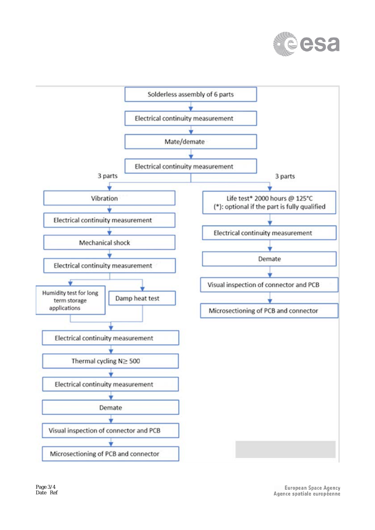